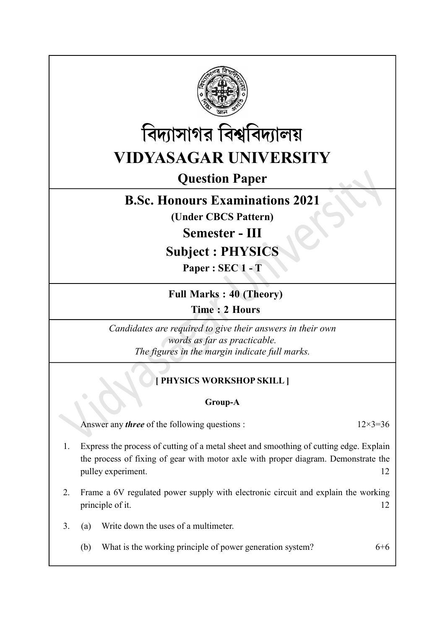



# Question Paper

## B.Sc. Honours Examinations 2021

(Under CBCS Pattern)

Semester - III

## Subject : PHYSICS

Paper : SEC 1 - T

Full Marks : 40 (Theory)

Time : 2 Hours

Candidates are required to give their answers in their own words as far as practicable. The figures in the margin indicate full marks.

## **PHYSICS WORKSHOP SKILL I**

### Group-A

Answer any *three* of the following questions :  $12 \times 3 = 36$ 

- 1. Express the process of cutting of a metal sheet and smoothing of cutting edge. Explain the process of fixing of gear with motor axle with proper diagram. Demonstrate the pulley experiment. 12
- 2. Frame a 6V regulated power supply with electronic circuit and explain the working principle of it. 12
- 3. (a) Write down the uses of a multimeter.
	- (b) What is the working principle of power generation system?  $6+6$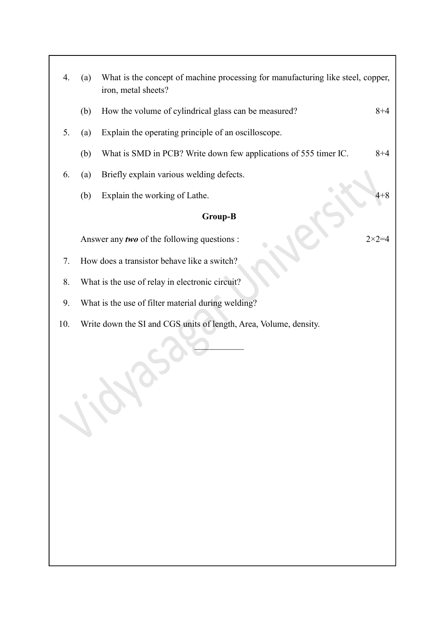| 4.                                                                       | (a)                                                | What is the concept of machine processing for manufacturing like steel, copper,<br>iron, metal sheets? |                  |
|--------------------------------------------------------------------------|----------------------------------------------------|--------------------------------------------------------------------------------------------------------|------------------|
|                                                                          | (b)                                                | How the volume of cylindrical glass can be measured?                                                   | $8 + 4$          |
| 5.                                                                       | (a)                                                | Explain the operating principle of an oscilloscope.                                                    |                  |
|                                                                          | (b)                                                | What is SMD in PCB? Write down few applications of 555 timer IC.                                       | $8 + 4$          |
| 6.                                                                       | (a)                                                | Briefly explain various welding defects.                                                               |                  |
|                                                                          | (b)                                                | Explain the working of Lathe.                                                                          | 4+8              |
| <b>Group-B</b>                                                           |                                                    |                                                                                                        |                  |
|                                                                          |                                                    | Answer any two of the following questions :                                                            | $2 \times 2 = 4$ |
| 7.                                                                       |                                                    | How does a transistor behave like a switch?                                                            |                  |
| 8.                                                                       | What is the use of relay in electronic circuit?    |                                                                                                        |                  |
| 9.                                                                       | What is the use of filter material during welding? |                                                                                                        |                  |
| Write down the SI and CGS units of length, Area, Volume, density.<br>10. |                                                    |                                                                                                        |                  |
| 110.                                                                     |                                                    |                                                                                                        |                  |